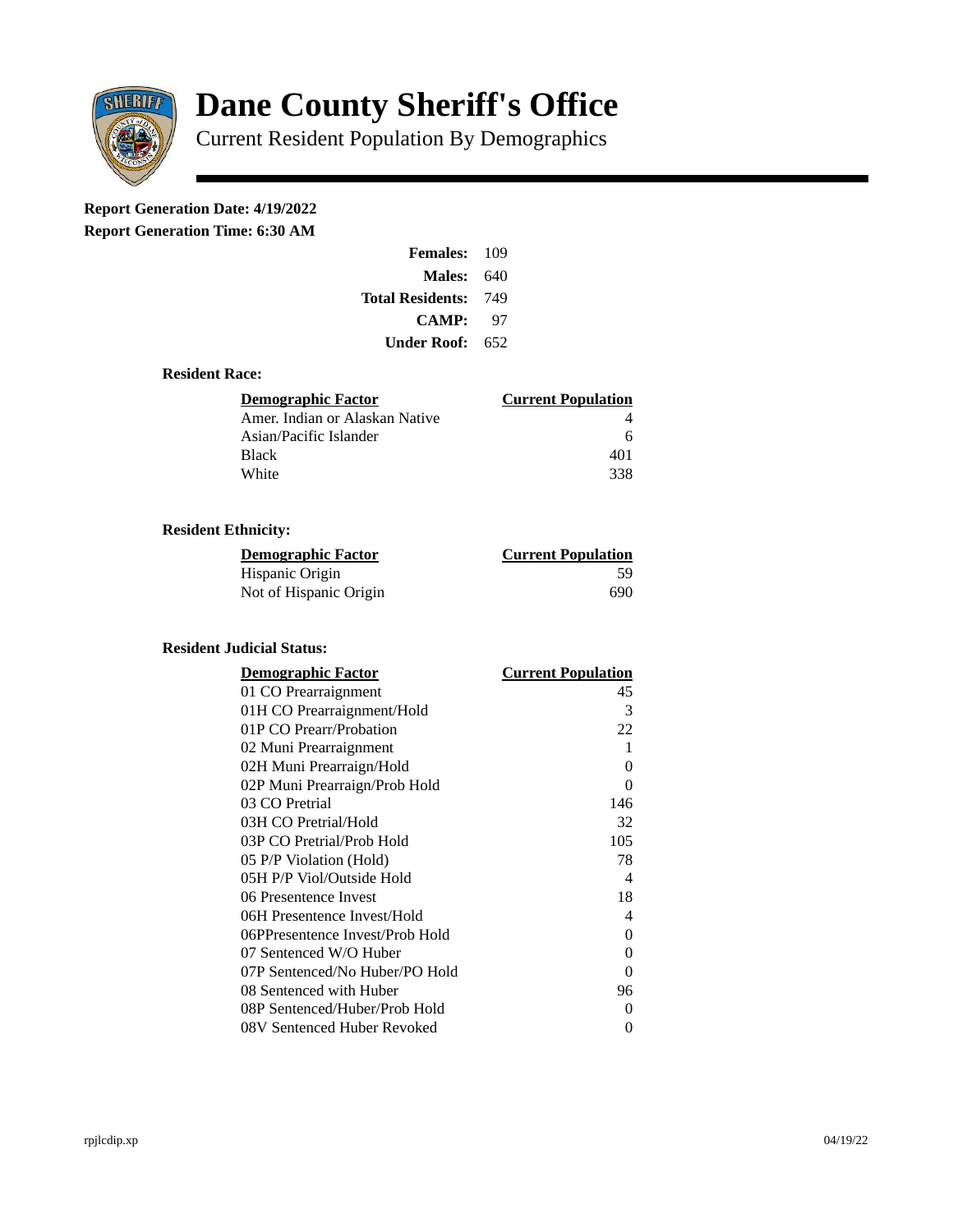

# **Dane County Sheriff's Office**

Current Resident Population By Demographics

# **Report Generation Date: 4/19/2022**

**Report Generation Time: 6:30 AM** 

| Females:                | 109 |
|-------------------------|-----|
| Males:                  | 640 |
| <b>Total Residents:</b> | 749 |
| CAMP:                   | 97  |
| Under Roof:             | 652 |

#### **Resident Race:**

| Demographic Factor             | <b>Current Population</b> |
|--------------------------------|---------------------------|
| Amer. Indian or Alaskan Native |                           |
| Asian/Pacific Islander         | 6                         |
| Black                          | 401                       |
| White                          | 338                       |

## **Resident Ethnicity:**

| <u>Demographic Factor</u> | <u>Current Population</u> |
|---------------------------|---------------------------|
| Hispanic Origin           | 59                        |
| Not of Hispanic Origin    | 690                       |

### **Resident Judicial Status:**

| <b>Demographic Factor</b>       | <b>Current Population</b>  |
|---------------------------------|----------------------------|
| 01 CO Prearraignment            | 45                         |
| 01H CO Prearraignment/Hold      | 3                          |
| 01P CO Prearr/Probation         | 22                         |
| 02 Muni Prearraignment          | 1                          |
| 02H Muni Prearraign/Hold        | 0                          |
| 02P Muni Prearraign/Prob Hold   | 0                          |
| 03 CO Pretrial                  | 146                        |
| 03H CO Pretrial/Hold            | 32                         |
| 03P CO Pretrial/Prob Hold       | 105                        |
| 05 P/P Violation (Hold)         | 78                         |
| 05H P/P Viol/Outside Hold       | $\boldsymbol{\mathcal{A}}$ |
| 06 Presentence Invest           | 18                         |
| 06H Presentence Invest/Hold     | 4                          |
| 06PPresentence Invest/Prob Hold | 0                          |
| 07 Sentenced W/O Huber          | 0                          |
| 07P Sentenced/No Huber/PO Hold  | 0                          |
| 08 Sentenced with Huber         | 96                         |
| 08P Sentenced/Huber/Prob Hold   | 0                          |
| 08V Sentenced Huber Revoked     | 0                          |